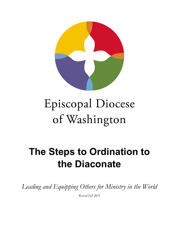

# Episcopal Diocese of Washington

# **The Steps to Ordination to the Diaconate**

*Leading and Equipping Others for Ministry in the World*

*Revised Fall 2021*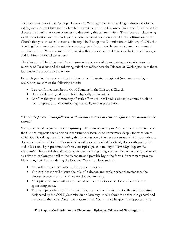To those members of the Episcopal Diocese of Washington who are seeking to discern if God is calling you to serve Christ in the Church in the ministry of the Diaconate, Welcome! All of us in the diocese are thankful for your openness to discerning this call to ministry. The process of discerning a call to ordination involves both your personal sense of vocation as well as the affirmation of the Church that you are called to such a ministry. The Bishop, the Commission on Ministry (COM), the Standing Committee and the Archdeacon are grateful for your willingness to share your sense of vocation with us. We are committed to making this process one that is marked by in-depth dialogue and faithful, spiritual discernment.

The Canons of The Episcopal Church govern the process of those seeking ordination into the ministry of Deacons and the following guidelines reflect how the Diocese of Washington uses those Canons in the process to ordination.

Before beginning the process of ordination to the diaconate, an aspirant (someone aspiring to ordination) must meet the following criteria:

- Be a confirmed member in Good Standing in the Episcopal Church.
- Have stable and good health both physically and mentally.
- Confirm that your community of faith affirms your call and is willing to commit itself to your preparation and contributing financially to that preparation.

# *What is the process I must follow as both the diocese and I discern a call for me as a deacon in the church?*

Your process will begin with your *Aspirancy*. The term Aspirancy or Aspirant, as it is referred to in the Canons, suggests that a person is aspiring to discern, or to know more deeply the vocation to which God is calling them. It is during this time that you will enter conversations with your priest to discuss a possible call to the diaconate. You will also be required to attend, along with your priest and at least one lay representative from your Episcopal community, a *Workshop Day on the Diaconate*. These workshop days are open to anyone exploring a call to diaconal ministry and serve as a time to explore your call to the diaconate and possibly begin the formal discernment process. Many things will happen during the Diaconal Workshop Day, such as:

- You will be welcomed into the discernment process.
- The Archdeacon will discuss the role of a deacon and explain what characteristics the diocese expects from a nominee for diaconal ministry.
- Your priest will meet with a representative from the diocese to discuss their role as a sponsoring priest.
- The lay representative(s) from your Episcopal community will meet with a representative designated by the COM (Commission on Ministry) to talk about the process in general and the role of the Local Discernment Committee. You will also be given the opportunity to

# **The Steps to Ordination to the Diaconate | Episcopal Diocese of Washington |1**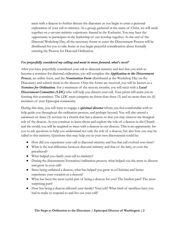meet with a deacon to further discuss the diaconate as you begin to enter a personal exploration of your call to ministry. As a group, gathered in the name of Christ, we will work together on a servant ministry experience framed in the Eucharist. You may have the opportunity to participate in the leadership of our worship together. At the end of the Diaconal Workshop Day, all the necessary forms to enter the Discernment Process will be distributed for you to take home as you begin prayerful consideration about formally entering the Process for Diaconal Ordination.

# *I've prayerfully considered my calling and want to move forward, what's next?*

After you have prayerfully considered your call to diaconal ministry and feel that you wish to become a nominee for diaconal ordination; you will complete the *Application to the Discernment Process*, an online form, and the *Nomination Form* (distributed at the Workshop Day on the Diaconate) and submit them to the diocese. Once the forms are received, you will be known as a *Nominee for Ordination*. For a minimum of the nextsix months, you will meet with a *Local* **Discernment Committee (LDC)** who will help you discern your call. Your priest will assist you in forming this committee. The LDC must comprise no fewer than three (3) and no more than six (6) members of your Episcopal community.

During this time, you will want to engage a *spiritual director* whom you feel comfortable with to help guide you throughout the ordination process, and perhaps beyond. You will also attend a minimum of three (3) services in a church that has a deacon so that you may observe the liturgical role of the deacon. As you continue to learn about and explore the role of a deacon in the Church and the world, you will be required to meet with a deacon in our diocese. This is an opportunity for you to ask questions to help you understand not only the role of a deacon, but also how you may be called to this ministry. Questions that may help you in your own discernment could be:

- How did you experience your call to diaconal ministry and has that call evolved over time?
- What is the real difference between diaconal ministry and that of the laity, or even the priesthood?
- What helped you clarify your call to ministry?
- During the discernment/formation/ordination process, what helped you the most to discern and grow in your call?
- Since being ordained a deacon, what has helped you grow as a Christian and better experience your vocation as a deacon?
- What has been the most joyful part of being a deacon for you? The hardest part? The most surprising part?
- How has being a deacon affected your family? Your job? What kind of sacrifices have you had to make to respond to and live out your call?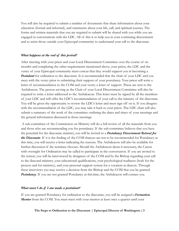You will also be required to submit a number of documents that share information about your education (formal and informal), and statements about your life, call, and spiritual journey. The forms and written materials that you are required to submit will be shared with you while you are engaged in conversations with the LDC. All of this is to help you in your continuing discernment and to assist those outside your Episcopal community to understand your call to the diaconate.

#### *What happens at the end of this period?*

After meeting with your priest and your Local Discernment Committee over the course of six months and completing the other requirements mentioned above, your priest, the LDC and the vestry of your Episcopal community must concur that they would support you in becoming a **Postulant** for ordination to the diaconate. It is recommended that the chair of your LDC and you meet with the vestry prior to submitting their support of your postulancy. Your priest will write a letter of recommendation to the COM and your vestry a letter of support. These are sent to the Archdeacon. The person serving as the Chair of your Local Discernment Committee will also be required to write a letter addressed to the Archdeacon. This letter must be signed by all the members of your LDC and will offer the LDC's recommendation of your call to the ministry of the diaconate. You will be given the opportunity to review the LDC's letter and must sign off on it. If you disagree with the recommendation of the LDC, you may take it back to your priest. The LDC chair will also submit a summary of the work of the committee outlining the dates and times of your meetings and the general information discussed in those meetings.

A sub-committee of the Commission on Ministry will do a full review of all the materials from you and those who are recommending you for postulancy. If the sub-committee believes that you have the potential for the diaconate ministry, you will be invited to a *Postulancy Discernment Retreat for the Diaconate*. If it is the finding of the COM thatyou are not to be recommended for Postulancy at this time, you will receive a letter indicating the reasons. The Archdeacon will also be available for further discussion if the nominee chooses. Should the Archdeacon deem it necessary, the Canon with oversight for Ordination may be called to participate in the conversation. If you are invited to the retreat, you will be interviewed by designees of the COM and by the Bishop regarding your call to the diaconal ministry, your educational qualifications, your psychological readiness (both for the process and for ministry), and your personal support system for a vocation as deacon. Through these interviews you may receive a decision from the Bishop and the COM that you be granted **Postulancy**. If you are not granted Postulancy at this time, the Archdeacon will contact you.

#### *What must I do if I am made a postulant?*

If you are granted Postulancy for ordination to the diaconate, you will be assigned a*Formation Mentor* from the COM. You must meet with your mentor at least once a quarter until your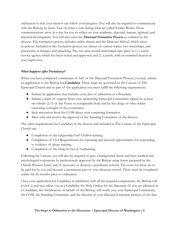ordination so that your mentor can follow your progress. You will also be required to communicate with the Bishop, by letter, four (4) times a year during what are called Ember Weeks. These communications serve as a way for you to reflect on your academic, diaconal, human, spiritual, and practical development. You will also enter the *Diaconal Formation Process* as outlined by the diocese. The formation process includes online classes and the Deacons School, which meets in-person. Included in this formation process are classes on various topics, two internships, and practicums in liturgics and preaching. The two nine-month internships take place in 1) a social service agency, which has been vetted and approved, and 2) a parish, with an ordained deacon as your supervisor.

# *What happens after Postulancy?*

When you have completed a minimum of half of the Diaconal Formation Process, you may submit an application to the Bishop for *Candidacy*. These steps are governed by the Canons of The Episcopal Church and as part of the application you must fulfill the following requirements:

- Submit an application that includes your date of admission as a Postulant.
- Submit a letter of support from your sponsoring Episcopal Community signed by at least two-thirds (2/3) of the Vestry or comparable body and by the clergy or other leader exercising oversight of the community.
- Seek attestation from the COM about your continuing formation.
- Meet with and receive the approval of the Standing Committee of the diocese.

The other requirements for Candidacy in the diocese and included in The Canons of the Episcopal Church are:

- *●* Completion of the*Safeguarding God's Children* training.
- Completion of Civil Requirements for reporting and pastoral opportunities for responding to evidence of abuse training.
- *●* Completion of the*Seeing the Face of God*training.

Following the Canons, you will also be required to pass a background check and have medical and psychological evaluations by professionals approved by the Bishop using forms prepared by the Church Pension Fund, and, if necessary or desired, a psychiatric referral. The costs for these are to be paid for by you and become a permanent part of your diocesan record. These must be completed within the 36 months prior to ordination.

Once your application for Candidacy is submitted, with all the required components, the Bishop will review it and may admit you as a Candidate for Holy Orders for the diaconate. If you are admitted as a Candidate, the Archdeacon, on behalf of the Bishop, will notify you, your Episcopal Community, the COM, the Standing Committee, and the director of your diaconal formation process of the date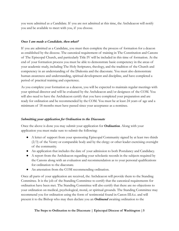you were admitted as a Candidate. If you are not admitted at this time, the Archdeacon will notify you and be available to meet with you, if you choose.

# *Once I am made a Candidate, then what?*

If you are admitted as a Candidate, you must then complete the process of formation for a deacon as established by the diocese. The canonical requirement of training in The Constitution and Canons of The Episcopal Church, and particularly Title IV will be included in this time of formation. At the end of your formation process you must be able to demonstrate basic competency in the areas of your academic study, including The Holy Scriptures, theology, and the tradition of the Church and competency in an understanding of the Diakonia and the diaconate. You must also demonstrate human awareness and understanding, spiritual development and discipline, and have completed a period of practical training and experience.

As you complete your formation as a deacon, you will be expected to maintain regular meetings with your spiritual director and will be evaluated by the Archdeacon and/or designees of the COM. You will also need to have the Archdeacon certify that you have completed your preparation and are ready for ordination and be recommended by the COM. You must be at least 24 years of age and a minimum of 18 months must have passed since your acceptance as a nominee.

# *Submitting your application for Ordination to the Diaconate*

Once the above is done you may submit your application for *Ordination*. Along with your application you must make sure to submit the following:

- A letter of support from your sponsoring Episcopal Community signed by at least two thirds  $(2/3)$  of the Vestry or comparable body and by the clergy or other leader exercising oversight of the community.
- An application that includes the date of your admission to both Postulancy and Candidacy.
- A report from the Archdeacon regarding your scholastic records in the subjects required by the Canons along with an evaluation and recommendation as to your personal qualifications for ordination to the diaconate.
- An attestation from the COM recommending ordination.

Once all parts of your application are received, the Archdeacon will provide them to the Standing Committee. It is the job of the Standing Committee to certify that the canonical requirements for ordination have been met. The Standing Committee will also certify that there are no objections to your ordination on medical, psychological, moral, or spiritual grounds. The Standing Committee may recommend you for ordination using the form of testimonial found in Canon III.6.c. and will present it to the Bishop who may then declare you an *Ordinand* awaiting ordination to the